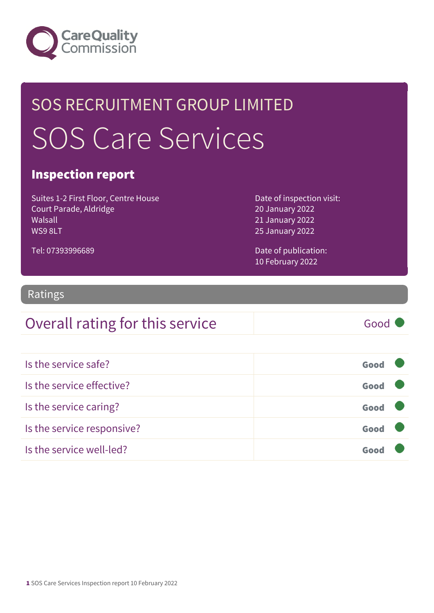

## SOS RECRUITMENT GROUP LIMITED SOS Care Services

#### Inspection report

Suites 1-2 First Floor, Centre House Court Parade, Aldridge Walsall WS9 8LT

Date of inspection visit: 20 January 2022 21 January 2022 25 January 2022

Date of publication: 10 February 2022

#### Ratings

Tel: 07393996689

#### Overall rating for this service Good

| Is the service safe?       | Good |
|----------------------------|------|
| Is the service effective?  | Good |
| Is the service caring?     | Good |
| Is the service responsive? | Good |
| Is the service well-led?   | Goo  |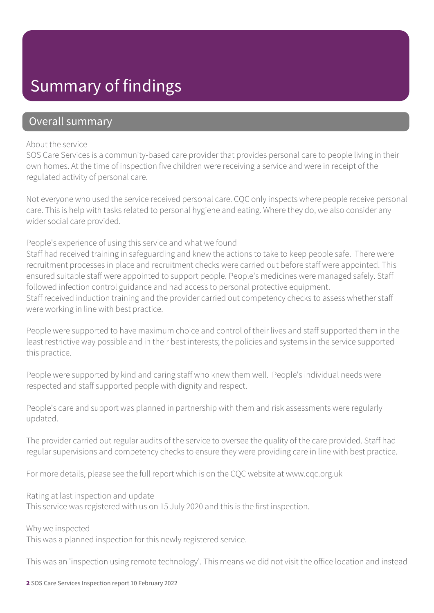### Summary of findings

#### Overall summary

#### About the service

SOS Care Services is a community-based care provider that provides personal care to people living in their own homes. At the time of inspection five children were receiving a service and were in receipt of the regulated activity of personal care.

Not everyone who used the service received personal care. CQC only inspects where people receive personal care. This is help with tasks related to personal hygiene and eating. Where they do, we also consider any wider social care provided.

People's experience of using this service and what we found

Staff had received training in safeguarding and knew the actions to take to keep people safe. There were recruitment processes in place and recruitment checks were carried out before staff were appointed. This ensured suitable staff were appointed to support people. People's medicines were managed safely. Staff followed infection control guidance and had access to personal protective equipment. Staff received induction training and the provider carried out competency checks to assess whether staff were working in line with best practice.

People were supported to have maximum choice and control of their lives and staff supported them in the least restrictive way possible and in their best interests; the policies and systems in the service supported this practice.

People were supported by kind and caring staff who knew them well. People's individual needs were respected and staff supported people with dignity and respect.

People's care and support was planned in partnership with them and risk assessments were regularly updated.

The provider carried out regular audits of the service to oversee the quality of the care provided. Staff had regular supervisions and competency checks to ensure they were providing care in line with best practice.

For more details, please see the full report which is on the CQC website at www.cqc.org.uk

Rating at last inspection and update

This service was registered with us on 15 July 2020 and this is the first inspection.

Why we inspected This was a planned inspection for this newly registered service.

This was an 'inspection using remote technology'. This means we did not visit the office location and instead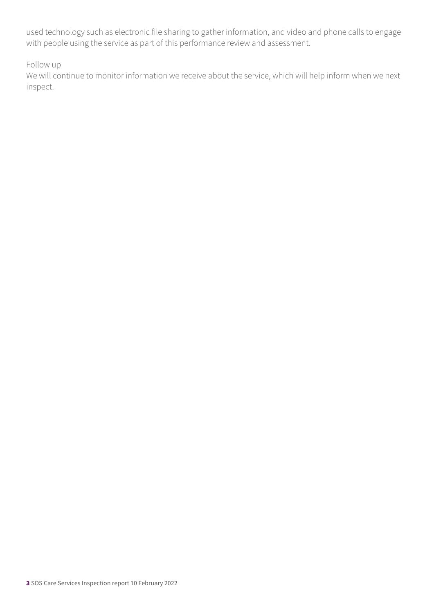used technology such as electronic file sharing to gather information, and video and phone calls to engage with people using the service as part of this performance review and assessment.

Follow up

We will continue to monitor information we receive about the service, which will help inform when we next inspect.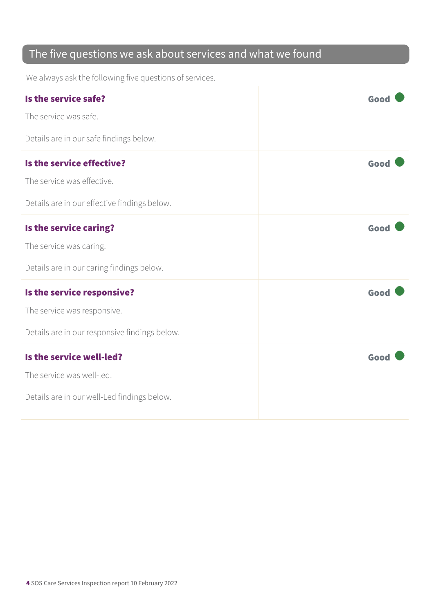#### The five questions we ask about services and what we found

We always ask the following five questions of services.

| Is the service safe?<br>The service was safe.                                                              | Good |
|------------------------------------------------------------------------------------------------------------|------|
| Details are in our safe findings below.                                                                    |      |
| Is the service effective?<br>The service was effective.<br>Details are in our effective findings below.    | Good |
| Is the service caring?<br>The service was caring.<br>Details are in our caring findings below.             | Good |
| Is the service responsive?<br>The service was responsive.<br>Details are in our responsive findings below. | Good |
| Is the service well-led?<br>The service was well-led.<br>Details are in our well-Led findings below.       | Good |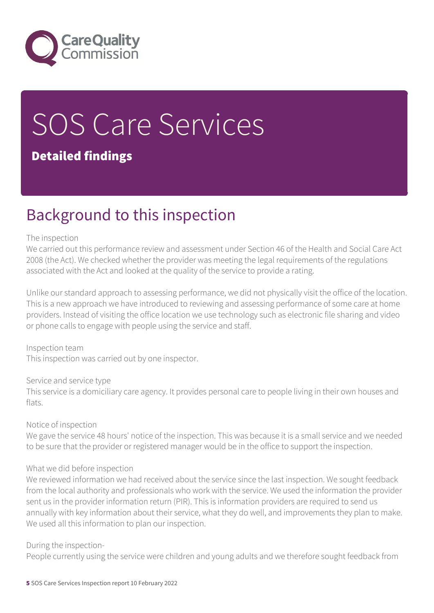

# SOS Care Services

#### Detailed findings

### Background to this inspection

#### The inspection

We carried out this performance review and assessment under Section 46 of the Health and Social Care Act 2008 (the Act). We checked whether the provider was meeting the legal requirements of the regulations associated with the Act and looked at the quality of the service to provide a rating.

Unlike our standard approach to assessing performance, we did not physically visit the office of the location. This is a new approach we have introduced to reviewing and assessing performance of some care at home providers. Instead of visiting the office location we use technology such as electronic file sharing and video or phone calls to engage with people using the service and staff.

Inspection team This inspection was carried out by one inspector.

Service and service type

This service is a domiciliary care agency. It provides personal care to people living in their own houses and flats.

Notice of inspection

We gave the service 48 hours' notice of the inspection. This was because it is a small service and we needed to be sure that the provider or registered manager would be in the office to support the inspection.

#### What we did before inspection

We reviewed information we had received about the service since the last inspection. We sought feedback from the local authority and professionals who work with the service. We used the information the provider sent us in the provider information return (PIR). This is information providers are required to send us annually with key information about their service, what they do well, and improvements they plan to make. We used all this information to plan our inspection.

#### During the inspection-

People currently using the service were children and young adults and we therefore sought feedback from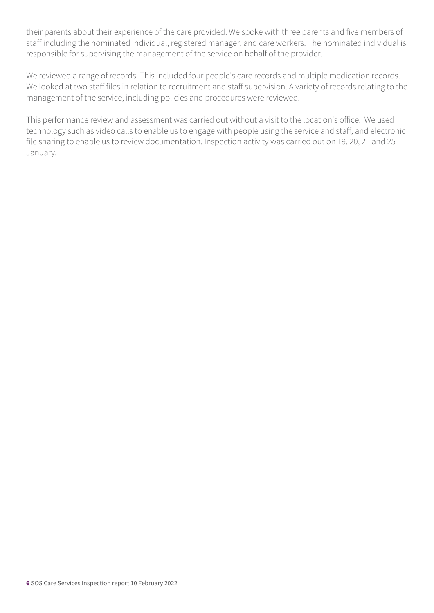their parents about their experience of the care provided. We spoke with three parents and five members of staff including the nominated individual, registered manager, and care workers. The nominated individual is responsible for supervising the management of the service on behalf of the provider.

We reviewed a range of records. This included four people's care records and multiple medication records. We looked at two staff files in relation to recruitment and staff supervision. A variety of records relating to the management of the service, including policies and procedures were reviewed.

This performance review and assessment was carried out without a visit to the location's office. We used technology such as video calls to enable us to engage with people using the service and staff, and electronic file sharing to enable us to review documentation. Inspection activity was carried out on 19, 20, 21 and 25 January.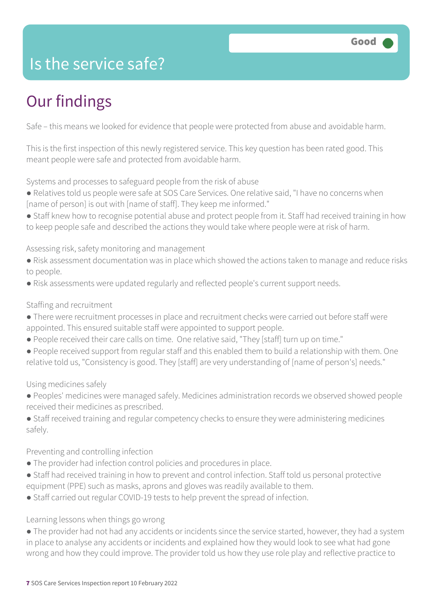### Is the service safe?

### Our findings

Safe – this means we looked for evidence that people were protected from abuse and avoidable harm.

This is the first inspection of this newly registered service. This key question has been rated good. This meant people were safe and protected from avoidable harm.

Systems and processes to safeguard people from the risk of abuse

- Relatives told us people were safe at SOS Care Services. One relative said, "I have no concerns when [name of person] is out with [name of staff]. They keep me informed."
- Staff knew how to recognise potential abuse and protect people from it. Staff had received training in how to keep people safe and described the actions they would take where people were at risk of harm.

Assessing risk, safety monitoring and management

- Risk assessment documentation was in place which showed the actions taken to manage and reduce risks to people.
- Risk assessments were updated regularly and reflected people's current support needs.

#### Staffing and recruitment

- There were recruitment processes in place and recruitment checks were carried out before staff were appointed. This ensured suitable staff were appointed to support people.
- People received their care calls on time. One relative said, "They [staff] turn up on time."
- People received support from regular staff and this enabled them to build a relationship with them. One relative told us, "Consistency is good. They [staff] are very understanding of [name of person's] needs."

#### Using medicines safely

- Peoples' medicines were managed safely. Medicines administration records we observed showed people received their medicines as prescribed.
- Staff received training and regular competency checks to ensure they were administering medicines safely.

#### Preventing and controlling infection

- The provider had infection control policies and procedures in place.
- Staff had received training in how to prevent and control infection. Staff told us personal protective equipment (PPE) such as masks, aprons and gloves was readily available to them.
- Staff carried out regular COVID-19 tests to help prevent the spread of infection.

#### Learning lessons when things go wrong

● The provider had not had any accidents or incidents since the service started, however, they had a system in place to analyse any accidents or incidents and explained how they would look to see what had gone wrong and how they could improve. The provider told us how they use role play and reflective practice to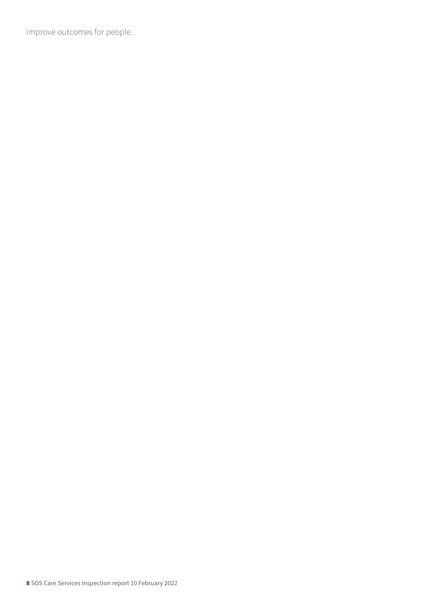improve outcomes for people.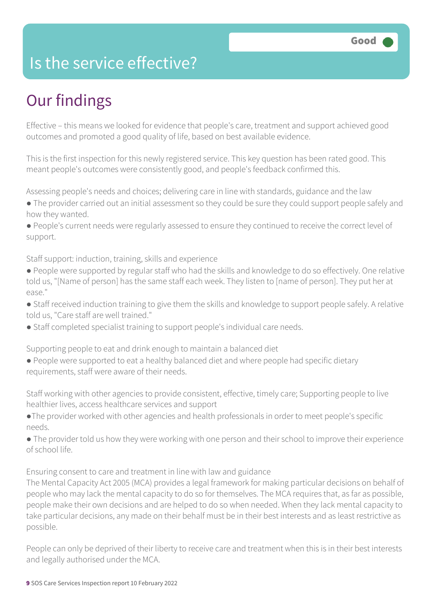### Is the service effective?

### Our findings

Effective – this means we looked for evidence that people's care, treatment and support achieved good outcomes and promoted a good quality of life, based on best available evidence.

This is the first inspection for this newly registered service. This key question has been rated good. This meant people's outcomes were consistently good, and people's feedback confirmed this.

Assessing people's needs and choices; delivering care in line with standards, guidance and the law

● The provider carried out an initial assessment so they could be sure they could support people safely and how they wanted.

● People's current needs were regularly assessed to ensure they continued to receive the correct level of support.

Staff support: induction, training, skills and experience

- People were supported by regular staff who had the skills and knowledge to do so effectively. One relative told us, "[Name of person] has the same staff each week. They listen to [name of person]. They put her at ease."
- Staff received induction training to give them the skills and knowledge to support people safely. A relative told us, "Care staff are well trained."
- Staff completed specialist training to support people's individual care needs.

Supporting people to eat and drink enough to maintain a balanced diet

● People were supported to eat a healthy balanced diet and where people had specific dietary requirements, staff were aware of their needs.

Staff working with other agencies to provide consistent, effective, timely care; Supporting people to live healthier lives, access healthcare services and support

- ●The provider worked with other agencies and health professionals in order to meet people's specific needs.
- The provider told us how they were working with one person and their school to improve their experience of school life.

Ensuring consent to care and treatment in line with law and guidance

The Mental Capacity Act 2005 (MCA) provides a legal framework for making particular decisions on behalf of people who may lack the mental capacity to do so for themselves. The MCA requires that, as far as possible, people make their own decisions and are helped to do so when needed. When they lack mental capacity to take particular decisions, any made on their behalf must be in their best interests and as least restrictive as possible.

People can only be deprived of their liberty to receive care and treatment when this is in their best interests and legally authorised under the MCA.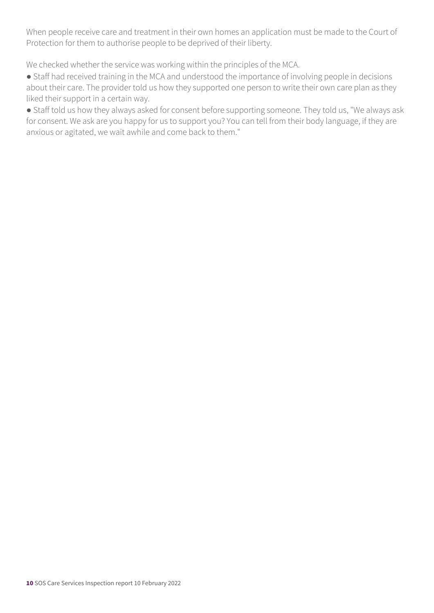When people receive care and treatment in their own homes an application must be made to the Court of Protection for them to authorise people to be deprived of their liberty.

We checked whether the service was working within the principles of the MCA.

● Staff had received training in the MCA and understood the importance of involving people in decisions about their care. The provider told us how they supported one person to write their own care plan as they liked their support in a certain way.

● Staff told us how they always asked for consent before supporting someone. They told us, "We always ask for consent. We ask are you happy for us to support you? You can tell from their body language, if they are anxious or agitated, we wait awhile and come back to them."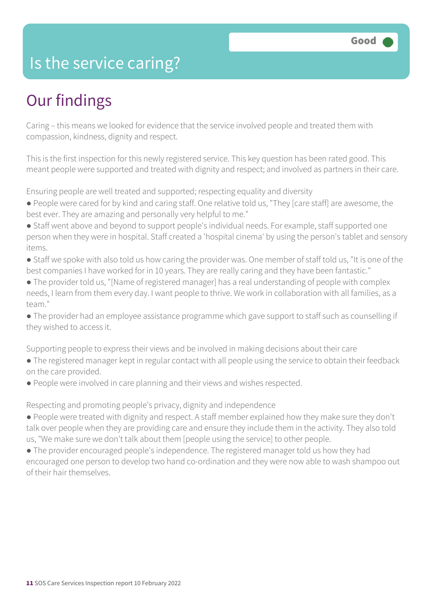### Is the service caring?

### Our findings

Caring – this means we looked for evidence that the service involved people and treated them with compassion, kindness, dignity and respect.

This is the first inspection for this newly registered service. This key question has been rated good. This meant people were supported and treated with dignity and respect; and involved as partners in their care.

Ensuring people are well treated and supported; respecting equality and diversity

- People were cared for by kind and caring staff. One relative told us, "They [care staff] are awesome, the best ever. They are amazing and personally very helpful to me."
- Staff went above and beyond to support people's individual needs. For example, staff supported one person when they were in hospital. Staff created a 'hospital cinema' by using the person's tablet and sensory items.
- Staff we spoke with also told us how caring the provider was. One member of staff told us, "It is one of the best companies I have worked for in 10 years. They are really caring and they have been fantastic."
- The provider told us, "[Name of registered manager] has a real understanding of people with complex needs, I learn from them every day. I want people to thrive. We work in collaboration with all families, as a team."

● The provider had an employee assistance programme which gave support to staff such as counselling if they wished to access it.

Supporting people to express their views and be involved in making decisions about their care

- The registered manager kept in regular contact with all people using the service to obtain their feedback on the care provided.
- People were involved in care planning and their views and wishes respected.

Respecting and promoting people's privacy, dignity and independence

- People were treated with dignity and respect. A staff member explained how they make sure they don't talk over people when they are providing care and ensure they include them in the activity. They also told us, "We make sure we don't talk about them [people using the service] to other people.
- The provider encouraged people's independence. The registered manager told us how they had encouraged one person to develop two hand co-ordination and they were now able to wash shampoo out of their hair themselves.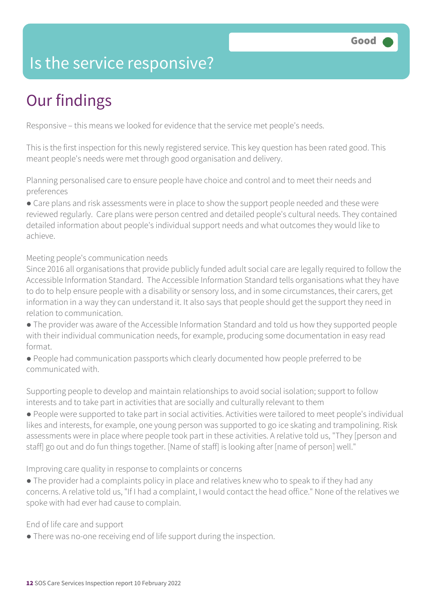### Is the service responsive?

### Our findings

Responsive – this means we looked for evidence that the service met people's needs.

This is the first inspection for this newly registered service. This key question has been rated good. This meant people's needs were met through good organisation and delivery.

Planning personalised care to ensure people have choice and control and to meet their needs and preferences

• Care plans and risk assessments were in place to show the support people needed and these were reviewed regularly. Care plans were person centred and detailed people's cultural needs. They contained detailed information about people's individual support needs and what outcomes they would like to achieve.

Meeting people's communication needs

Since 2016 all organisations that provide publicly funded adult social care are legally required to follow the Accessible Information Standard. The Accessible Information Standard tells organisations what they have to do to help ensure people with a disability or sensory loss, and in some circumstances, their carers, get information in a way they can understand it. It also says that people should get the support they need in relation to communication.

● The provider was aware of the Accessible Information Standard and told us how they supported people with their individual communication needs, for example, producing some documentation in easy read format.

● People had communication passports which clearly documented how people preferred to be communicated with.

Supporting people to develop and maintain relationships to avoid social isolation; support to follow interests and to take part in activities that are socially and culturally relevant to them

● People were supported to take part in social activities. Activities were tailored to meet people's individual likes and interests, for example, one young person was supported to go ice skating and trampolining. Risk assessments were in place where people took part in these activities. A relative told us, "They [person and staff] go out and do fun things together. [Name of staff] is looking after [name of person] well."

Improving care quality in response to complaints or concerns

• The provider had a complaints policy in place and relatives knew who to speak to if they had any concerns. A relative told us, "If I had a complaint, I would contact the head office." None of the relatives we spoke with had ever had cause to complain.

End of life care and support

● There was no-one receiving end of life support during the inspection.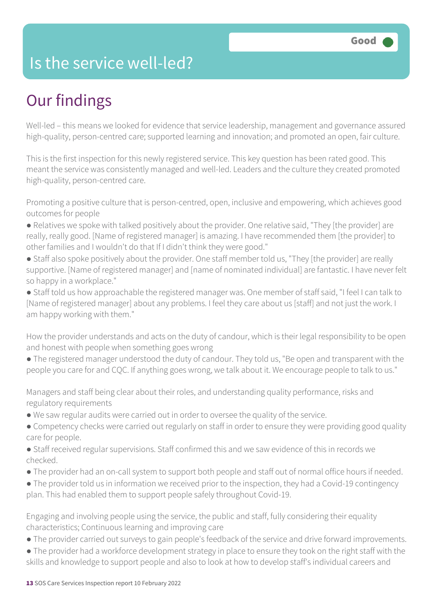### Is the service well-led?

### Our findings

Well-led – this means we looked for evidence that service leadership, management and governance assured high-quality, person-centred care; supported learning and innovation; and promoted an open, fair culture.

This is the first inspection for this newly registered service. This key question has been rated good. This meant the service was consistently managed and well-led. Leaders and the culture they created promoted high-quality, person-centred care.

Promoting a positive culture that is person-centred, open, inclusive and empowering, which achieves good outcomes for people

- Relatives we spoke with talked positively about the provider. One relative said, "They [the provider] are really, really good. [Name of registered manager] is amazing. I have recommended them [the provider] to other families and I wouldn't do that If I didn't think they were good."
- Staff also spoke positively about the provider. One staff member told us, "They [the provider] are really supportive. [Name of registered manager] and [name of nominated individual] are fantastic. I have never felt so happy in a workplace."

● Staff told us how approachable the registered manager was. One member of staff said, "I feel I can talk to [Name of registered manager] about any problems. I feel they care about us [staff] and not just the work. I am happy working with them."

How the provider understands and acts on the duty of candour, which is their legal responsibility to be open and honest with people when something goes wrong

● The registered manager understood the duty of candour. They told us, "Be open and transparent with the people you care for and CQC. If anything goes wrong, we talk about it. We encourage people to talk to us."

Managers and staff being clear about their roles, and understanding quality performance, risks and regulatory requirements

- We saw regular audits were carried out in order to oversee the quality of the service.
- Competency checks were carried out regularly on staff in order to ensure they were providing good quality care for people.
- Staff received regular supervisions. Staff confirmed this and we saw evidence of this in records we checked.
- The provider had an on-call system to support both people and staff out of normal office hours if needed.
- The provider told us in information we received prior to the inspection, they had a Covid-19 contingency plan. This had enabled them to support people safely throughout Covid-19.

Engaging and involving people using the service, the public and staff, fully considering their equality characteristics; Continuous learning and improving care

- The provider carried out surveys to gain people's feedback of the service and drive forward improvements.
- The provider had a workforce development strategy in place to ensure they took on the right staff with the skills and knowledge to support people and also to look at how to develop staff's individual careers and